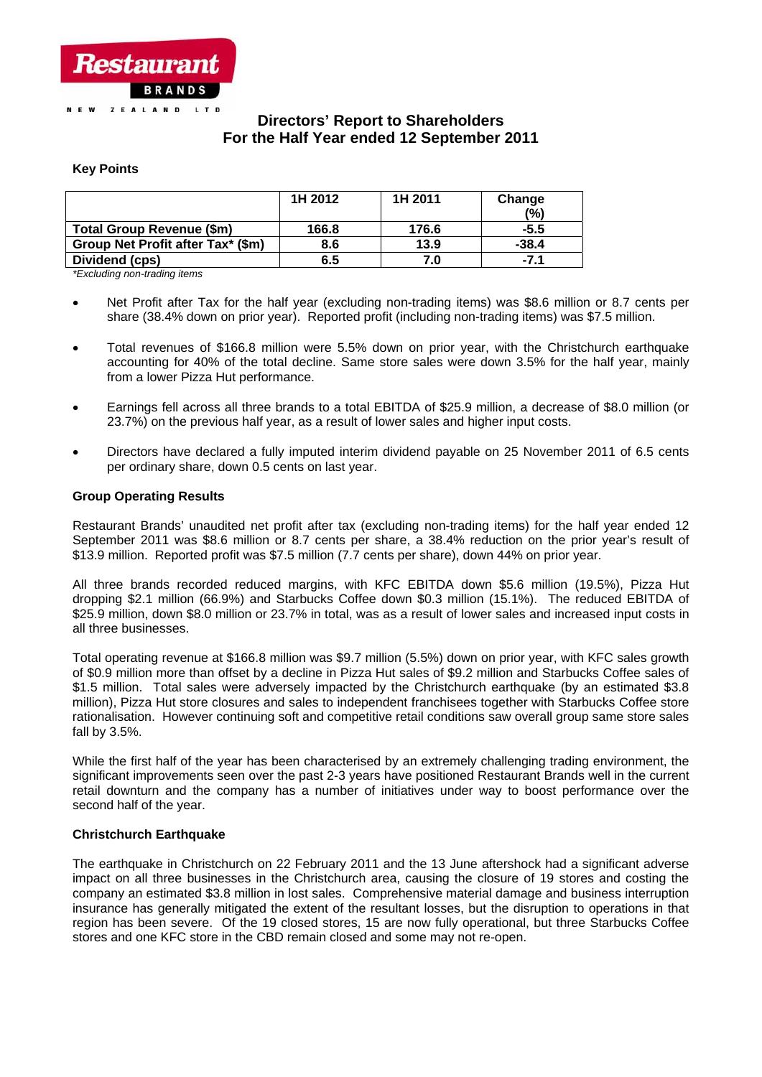

# **Directors' Report to Shareholders For the Half Year ended 12 September 2011**

## **Key Points**

| 1H 2012 | 1H 2011 | Change        |
|---------|---------|---------------|
|         |         | $\frac{1}{2}$ |
| 166.8   | 176.6   | $-5.5$        |
| 8.6     | 13.9    | $-38.4$       |
| 6.5     | 7.0     | $-7.1$        |
|         |         |               |

*\*Excluding non-trading items* 

- Net Profit after Tax for the half year (excluding non-trading items) was \$8.6 million or 8.7 cents per share (38.4% down on prior year). Reported profit (including non-trading items) was \$7.5 million.
- Total revenues of \$166.8 million were 5.5% down on prior year, with the Christchurch earthquake accounting for 40% of the total decline. Same store sales were down 3.5% for the half year, mainly from a lower Pizza Hut performance.
- Earnings fell across all three brands to a total EBITDA of \$25.9 million, a decrease of \$8.0 million (or 23.7%) on the previous half year, as a result of lower sales and higher input costs.
- Directors have declared a fully imputed interim dividend payable on 25 November 2011 of 6.5 cents per ordinary share, down 0.5 cents on last year.

## **Group Operating Results**

Restaurant Brands' unaudited net profit after tax (excluding non-trading items) for the half year ended 12 September 2011 was \$8.6 million or 8.7 cents per share, a 38.4% reduction on the prior year's result of \$13.9 million. Reported profit was \$7.5 million (7.7 cents per share), down 44% on prior year.

All three brands recorded reduced margins, with KFC EBITDA down \$5.6 million (19.5%), Pizza Hut dropping \$2.1 million (66.9%) and Starbucks Coffee down \$0.3 million (15.1%). The reduced EBITDA of \$25.9 million, down \$8.0 million or 23.7% in total, was as a result of lower sales and increased input costs in all three businesses.

Total operating revenue at \$166.8 million was \$9.7 million (5.5%) down on prior year, with KFC sales growth of \$0.9 million more than offset by a decline in Pizza Hut sales of \$9.2 million and Starbucks Coffee sales of \$1.5 million. Total sales were adversely impacted by the Christchurch earthquake (by an estimated \$3.8 million), Pizza Hut store closures and sales to independent franchisees together with Starbucks Coffee store rationalisation. However continuing soft and competitive retail conditions saw overall group same store sales fall by 3.5%.

While the first half of the year has been characterised by an extremely challenging trading environment, the significant improvements seen over the past 2-3 years have positioned Restaurant Brands well in the current retail downturn and the company has a number of initiatives under way to boost performance over the second half of the year.

## **Christchurch Earthquake**

The earthquake in Christchurch on 22 February 2011 and the 13 June aftershock had a significant adverse impact on all three businesses in the Christchurch area, causing the closure of 19 stores and costing the company an estimated \$3.8 million in lost sales. Comprehensive material damage and business interruption insurance has generally mitigated the extent of the resultant losses, but the disruption to operations in that region has been severe. Of the 19 closed stores, 15 are now fully operational, but three Starbucks Coffee stores and one KFC store in the CBD remain closed and some may not re-open.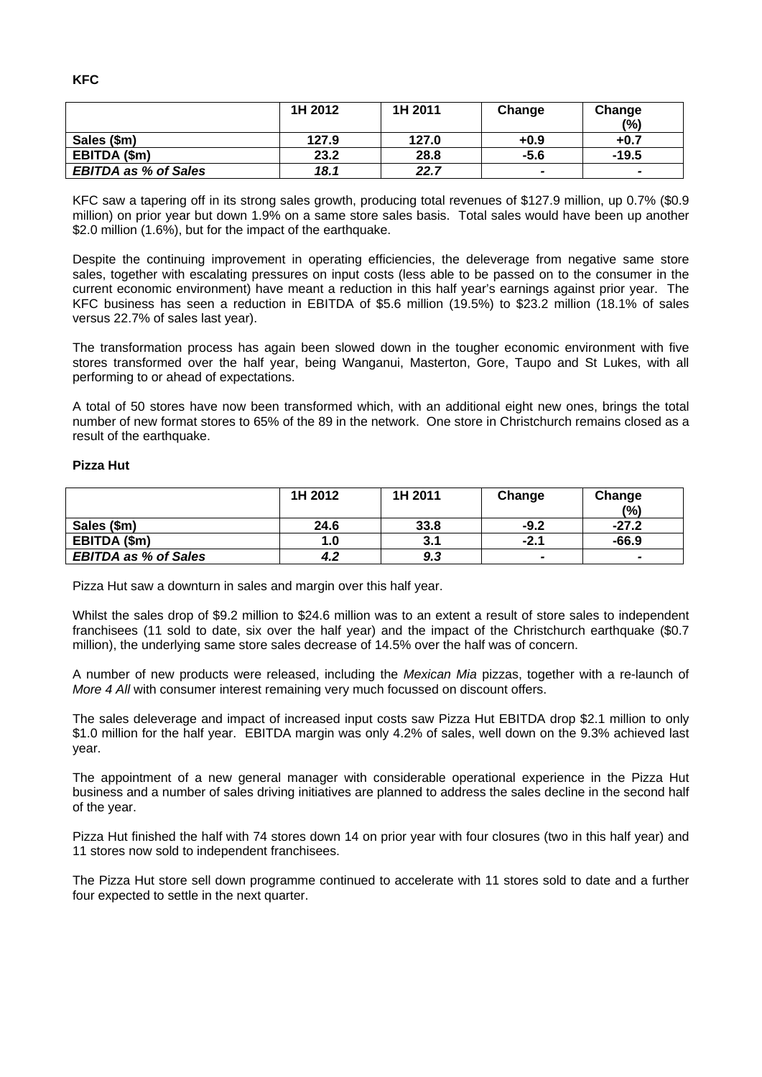|                             | 1H 2012 | 1H 2011 | Change                   | Change  |
|-----------------------------|---------|---------|--------------------------|---------|
|                             |         |         |                          | (%)     |
| Sales (\$m)                 | 127.9   | 127.0   | $+0.9$                   | $+0.7$  |
| EBITDA (\$m)                | 23.2    | 28.8    | $-5.6$                   | $-19.5$ |
| <b>EBITDA as % of Sales</b> | 18.1    | 22.7    | $\overline{\phantom{0}}$ | $\sim$  |

KFC saw a tapering off in its strong sales growth, producing total revenues of \$127.9 million, up 0.7% (\$0.9 million) on prior year but down 1.9% on a same store sales basis. Total sales would have been up another \$2.0 million (1.6%), but for the impact of the earthquake.

Despite the continuing improvement in operating efficiencies, the deleverage from negative same store sales, together with escalating pressures on input costs (less able to be passed on to the consumer in the current economic environment) have meant a reduction in this half year's earnings against prior year. The KFC business has seen a reduction in EBITDA of \$5.6 million (19.5%) to \$23.2 million (18.1% of sales versus 22.7% of sales last year).

The transformation process has again been slowed down in the tougher economic environment with five stores transformed over the half year, being Wanganui, Masterton, Gore, Taupo and St Lukes, with all performing to or ahead of expectations.

A total of 50 stores have now been transformed which, with an additional eight new ones, brings the total number of new format stores to 65% of the 89 in the network. One store in Christchurch remains closed as a result of the earthquake.

### **Pizza Hut**

|                             | 1H 2012 | 1H 2011 | Change          | Change                   |
|-----------------------------|---------|---------|-----------------|--------------------------|
|                             |         |         |                 | (%)                      |
| Sales (\$m)                 | 24.6    | 33.8    | $-9.2$          | $-27.2$                  |
| EBITDA (\$m)                | 1.0     | 3.1     | -2.1            | $-66.9$                  |
| <b>EBITDA as % of Sales</b> | 4.2     | 9.3     | $\qquad \qquad$ | $\overline{\phantom{0}}$ |

Pizza Hut saw a downturn in sales and margin over this half year.

Whilst the sales drop of \$9.2 million to \$24.6 million was to an extent a result of store sales to independent franchisees (11 sold to date, six over the half year) and the impact of the Christchurch earthquake (\$0.7 million), the underlying same store sales decrease of 14.5% over the half was of concern.

A number of new products were released, including the *Mexican Mia* pizzas, together with a re-launch of *More 4 All* with consumer interest remaining very much focussed on discount offers.

The sales deleverage and impact of increased input costs saw Pizza Hut EBITDA drop \$2.1 million to only \$1.0 million for the half year. EBITDA margin was only 4.2% of sales, well down on the 9.3% achieved last year.

The appointment of a new general manager with considerable operational experience in the Pizza Hut business and a number of sales driving initiatives are planned to address the sales decline in the second half of the year.

Pizza Hut finished the half with 74 stores down 14 on prior year with four closures (two in this half year) and 11 stores now sold to independent franchisees.

The Pizza Hut store sell down programme continued to accelerate with 11 stores sold to date and a further four expected to settle in the next quarter.

**KFC**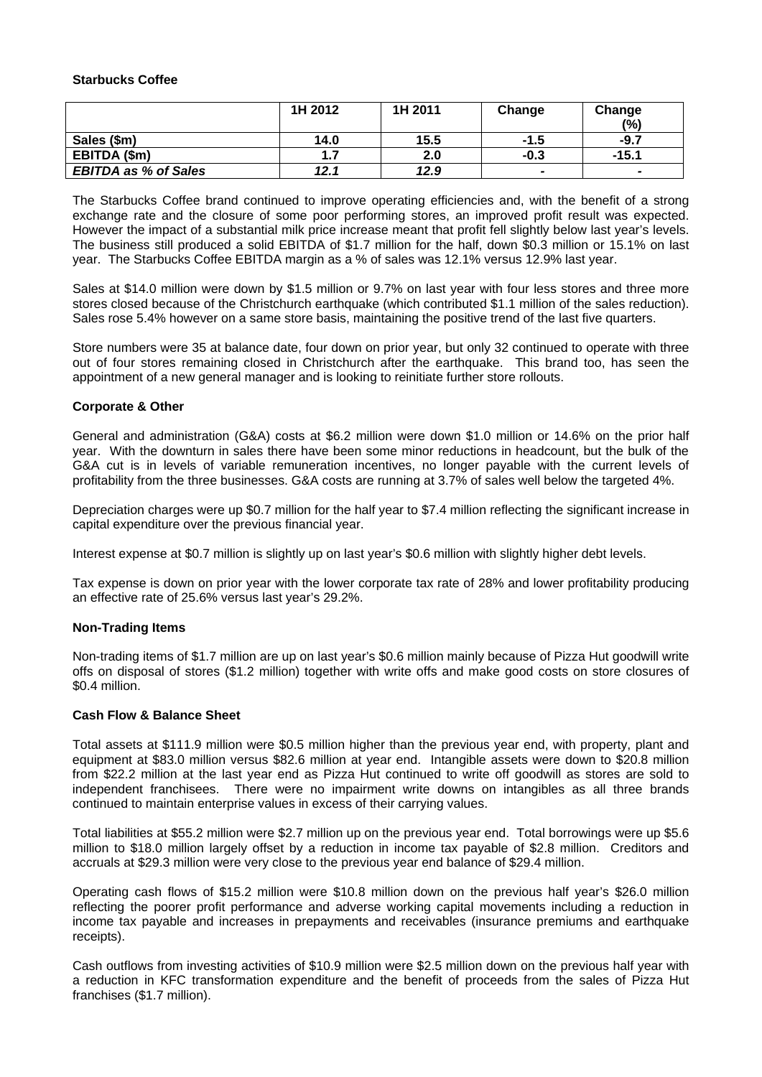### **Starbucks Coffee**

|                             | 1H 2012 | 1H 2011 | Change                   | Change<br>(%)            |
|-----------------------------|---------|---------|--------------------------|--------------------------|
| Sales (\$m)                 | 14.0    | 15.5    | $-1.5$                   | $-9.7$                   |
| EBITDA (\$m)                |         | 2.0     | $-0.3$                   | $-15.1$                  |
| <b>EBITDA as % of Sales</b> | 12.1    | 12.9    | $\overline{\phantom{0}}$ | $\overline{\phantom{a}}$ |

The Starbucks Coffee brand continued to improve operating efficiencies and, with the benefit of a strong exchange rate and the closure of some poor performing stores, an improved profit result was expected. However the impact of a substantial milk price increase meant that profit fell slightly below last year's levels. The business still produced a solid EBITDA of \$1.7 million for the half, down \$0.3 million or 15.1% on last year. The Starbucks Coffee EBITDA margin as a % of sales was 12.1% versus 12.9% last year.

Sales at \$14.0 million were down by \$1.5 million or 9.7% on last year with four less stores and three more stores closed because of the Christchurch earthquake (which contributed \$1.1 million of the sales reduction). Sales rose 5.4% however on a same store basis, maintaining the positive trend of the last five quarters.

Store numbers were 35 at balance date, four down on prior year, but only 32 continued to operate with three out of four stores remaining closed in Christchurch after the earthquake. This brand too, has seen the appointment of a new general manager and is looking to reinitiate further store rollouts.

## **Corporate & Other**

General and administration (G&A) costs at \$6.2 million were down \$1.0 million or 14.6% on the prior half year. With the downturn in sales there have been some minor reductions in headcount, but the bulk of the G&A cut is in levels of variable remuneration incentives, no longer payable with the current levels of profitability from the three businesses. G&A costs are running at 3.7% of sales well below the targeted 4%.

Depreciation charges were up \$0.7 million for the half year to \$7.4 million reflecting the significant increase in capital expenditure over the previous financial year.

Interest expense at \$0.7 million is slightly up on last year's \$0.6 million with slightly higher debt levels.

Tax expense is down on prior year with the lower corporate tax rate of 28% and lower profitability producing an effective rate of 25.6% versus last year's 29.2%.

## **Non-Trading Items**

Non-trading items of \$1.7 million are up on last year's \$0.6 million mainly because of Pizza Hut goodwill write offs on disposal of stores (\$1.2 million) together with write offs and make good costs on store closures of \$0.4 million.

### **Cash Flow & Balance Sheet**

Total assets at \$111.9 million were \$0.5 million higher than the previous year end, with property, plant and equipment at \$83.0 million versus \$82.6 million at year end. Intangible assets were down to \$20.8 million from \$22.2 million at the last year end as Pizza Hut continued to write off goodwill as stores are sold to independent franchisees. There were no impairment write downs on intangibles as all three brands continued to maintain enterprise values in excess of their carrying values.

Total liabilities at \$55.2 million were \$2.7 million up on the previous year end. Total borrowings were up \$5.6 million to \$18.0 million largely offset by a reduction in income tax payable of \$2.8 million. Creditors and accruals at \$29.3 million were very close to the previous year end balance of \$29.4 million.

Operating cash flows of \$15.2 million were \$10.8 million down on the previous half year's \$26.0 million reflecting the poorer profit performance and adverse working capital movements including a reduction in income tax payable and increases in prepayments and receivables (insurance premiums and earthquake receipts).

Cash outflows from investing activities of \$10.9 million were \$2.5 million down on the previous half year with a reduction in KFC transformation expenditure and the benefit of proceeds from the sales of Pizza Hut franchises (\$1.7 million).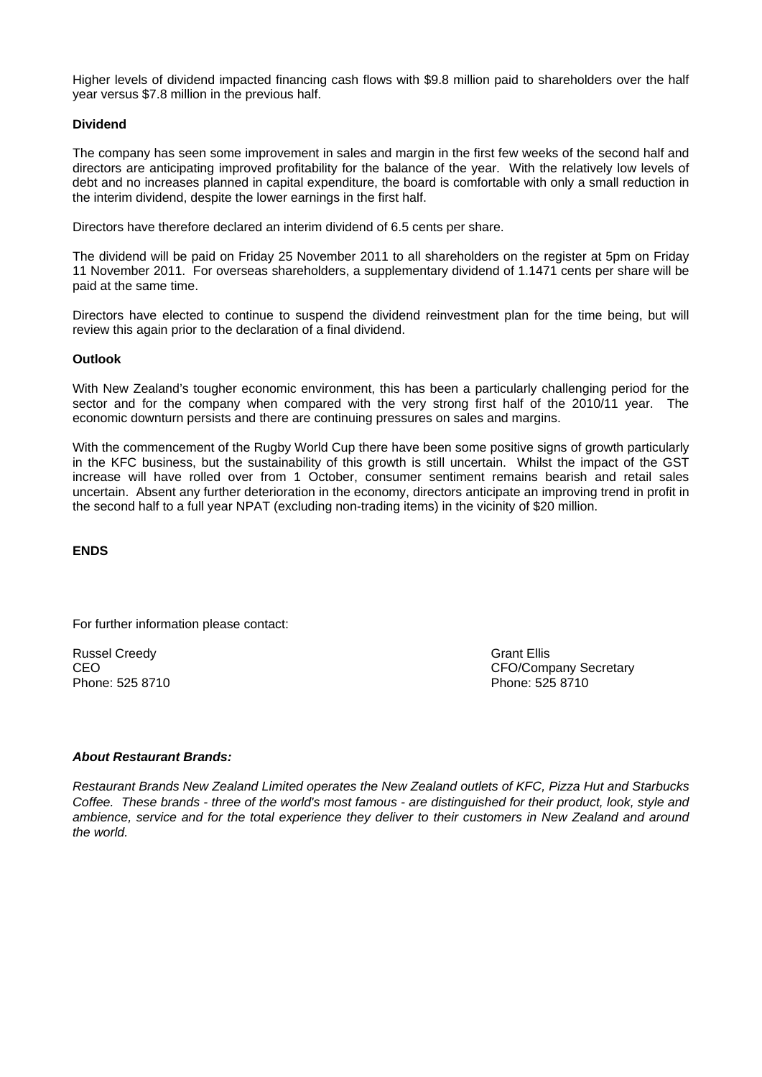Higher levels of dividend impacted financing cash flows with \$9.8 million paid to shareholders over the half year versus \$7.8 million in the previous half.

## **Dividend**

The company has seen some improvement in sales and margin in the first few weeks of the second half and directors are anticipating improved profitability for the balance of the year. With the relatively low levels of debt and no increases planned in capital expenditure, the board is comfortable with only a small reduction in the interim dividend, despite the lower earnings in the first half.

Directors have therefore declared an interim dividend of 6.5 cents per share.

The dividend will be paid on Friday 25 November 2011 to all shareholders on the register at 5pm on Friday 11 November 2011. For overseas shareholders, a supplementary dividend of 1.1471 cents per share will be paid at the same time.

Directors have elected to continue to suspend the dividend reinvestment plan for the time being, but will review this again prior to the declaration of a final dividend.

### **Outlook**

With New Zealand's tougher economic environment, this has been a particularly challenging period for the sector and for the company when compared with the very strong first half of the 2010/11 year. The economic downturn persists and there are continuing pressures on sales and margins.

With the commencement of the Rugby World Cup there have been some positive signs of growth particularly in the KFC business, but the sustainability of this growth is still uncertain. Whilst the impact of the GST increase will have rolled over from 1 October, consumer sentiment remains bearish and retail sales uncertain. Absent any further deterioration in the economy, directors anticipate an improving trend in profit in the second half to a full year NPAT (excluding non-trading items) in the vicinity of \$20 million.

**ENDS** 

For further information please contact:

Russel Creedy Grant Ellis Phone: 525 8710 Phone: 525 8710

CEO CEO CHE CEO COMPANY Secretary CEO CEO COMPANY Secretary CEO

### *About Restaurant Brands:*

*Restaurant Brands New Zealand Limited operates the New Zealand outlets of KFC, Pizza Hut and Starbucks Coffee. These brands - three of the world's most famous - are distinguished for their product, look, style and ambience, service and for the total experience they deliver to their customers in New Zealand and around the world.*